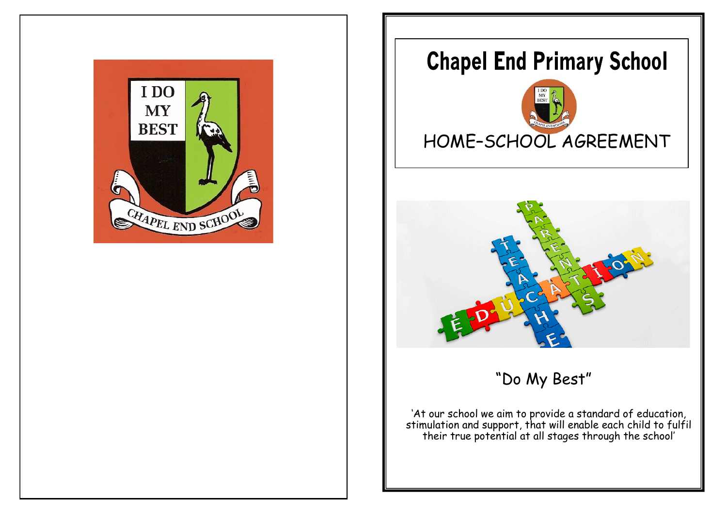

# **Chapel End Primary School**



# HACHATTEL

"Do My Best"

'At our school we aim to provide a standard of education, stimulation and support, that will enable each child to fulfil their true potential at all stages through the school'